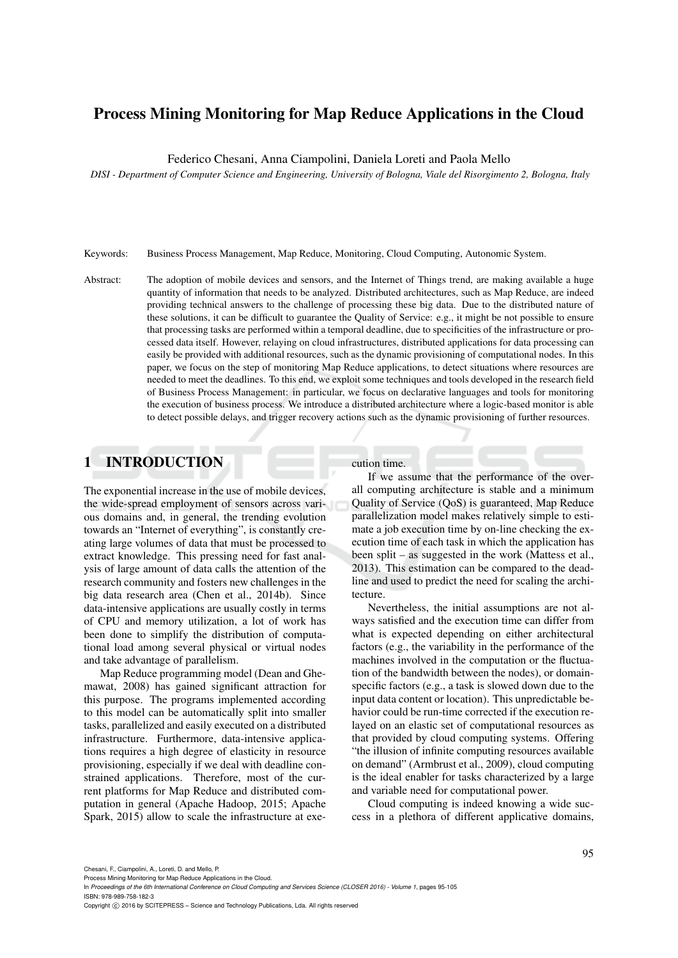# Process Mining Monitoring for Map Reduce Applications in the Cloud

Federico Chesani, Anna Ciampolini, Daniela Loreti and Paola Mello

*DISI - Department of Computer Science and Engineering, University of Bologna, Viale del Risorgimento 2, Bologna, Italy*

Keywords: Business Process Management, Map Reduce, Monitoring, Cloud Computing, Autonomic System.

Abstract: The adoption of mobile devices and sensors, and the Internet of Things trend, are making available a huge quantity of information that needs to be analyzed. Distributed architectures, such as Map Reduce, are indeed providing technical answers to the challenge of processing these big data. Due to the distributed nature of these solutions, it can be difficult to guarantee the Quality of Service: e.g., it might be not possible to ensure that processing tasks are performed within a temporal deadline, due to specificities of the infrastructure or processed data itself. However, relaying on cloud infrastructures, distributed applications for data processing can easily be provided with additional resources, such as the dynamic provisioning of computational nodes. In this paper, we focus on the step of monitoring Map Reduce applications, to detect situations where resources are needed to meet the deadlines. To this end, we exploit some techniques and tools developed in the research field of Business Process Management: in particular, we focus on declarative languages and tools for monitoring the execution of business process. We introduce a distributed architecture where a logic-based monitor is able to detect possible delays, and trigger recovery actions such as the dynamic provisioning of further resources.

## 1 INTRODUCTION

The exponential increase in the use of mobile devices, the wide-spread employment of sensors across various domains and, in general, the trending evolution towards an "Internet of everything", is constantly creating large volumes of data that must be processed to extract knowledge. This pressing need for fast analysis of large amount of data calls the attention of the research community and fosters new challenges in the big data research area (Chen et al., 2014b). Since data-intensive applications are usually costly in terms of CPU and memory utilization, a lot of work has been done to simplify the distribution of computational load among several physical or virtual nodes and take advantage of parallelism.

Map Reduce programming model (Dean and Ghemawat, 2008) has gained significant attraction for this purpose. The programs implemented according to this model can be automatically split into smaller tasks, parallelized and easily executed on a distributed infrastructure. Furthermore, data-intensive applications requires a high degree of elasticity in resource provisioning, especially if we deal with deadline constrained applications. Therefore, most of the current platforms for Map Reduce and distributed computation in general (Apache Hadoop, 2015; Apache Spark, 2015) allow to scale the infrastructure at execution time.

If we assume that the performance of the overall computing architecture is stable and a minimum Quality of Service (QoS) is guaranteed, Map Reduce parallelization model makes relatively simple to estimate a job execution time by on-line checking the execution time of each task in which the application has been split – as suggested in the work (Mattess et al., 2013). This estimation can be compared to the deadline and used to predict the need for scaling the architecture.

Nevertheless, the initial assumptions are not always satisfied and the execution time can differ from what is expected depending on either architectural factors (e.g., the variability in the performance of the machines involved in the computation or the fluctuation of the bandwidth between the nodes), or domainspecific factors (e.g., a task is slowed down due to the input data content or location). This unpredictable behavior could be run-time corrected if the execution relayed on an elastic set of computational resources as that provided by cloud computing systems. Offering "the illusion of infinite computing resources available on demand" (Armbrust et al., 2009), cloud computing is the ideal enabler for tasks characterized by a large and variable need for computational power.

Cloud computing is indeed knowing a wide success in a plethora of different applicative domains,

Chesani, F., Ciampolini, A., Loreti, D. and Mello, P.

Copyright C 2016 by SCITEPRESS - Science and Technology Publications, Lda. All rights reserved

Process Mining Monitoring for Map Reduce Applications in the Cloud.

In *Proceedings of the 6th International Conference on Cloud Computing and Services Science (CLOSER 2016) - Volume 1*, pages 95-105 ISBN: 978-989-758-182-3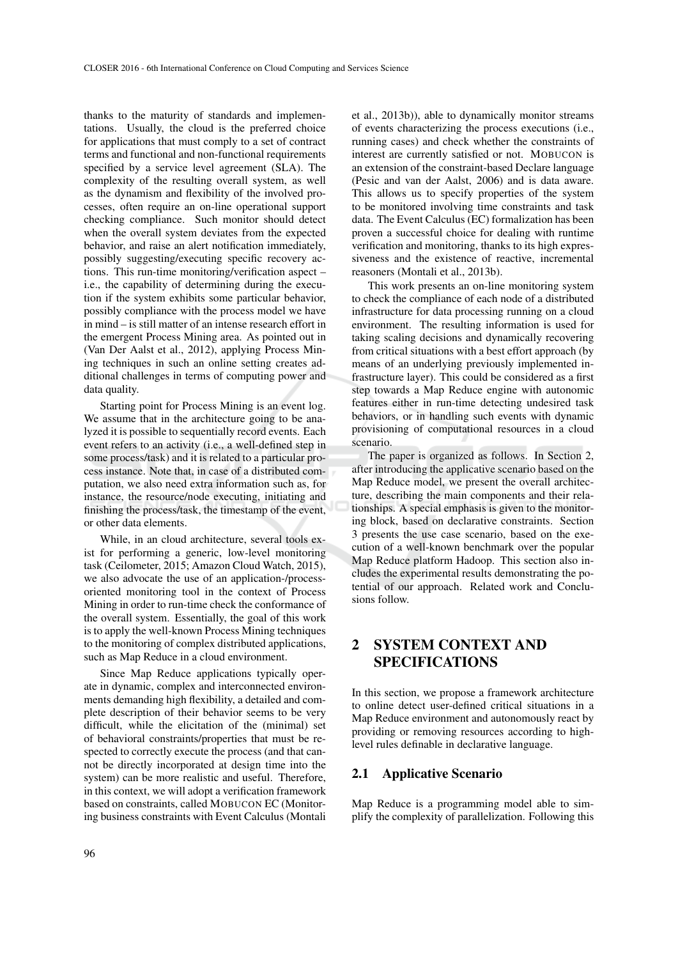thanks to the maturity of standards and implementations. Usually, the cloud is the preferred choice for applications that must comply to a set of contract terms and functional and non-functional requirements specified by a service level agreement (SLA). The complexity of the resulting overall system, as well as the dynamism and flexibility of the involved processes, often require an on-line operational support checking compliance. Such monitor should detect when the overall system deviates from the expected behavior, and raise an alert notification immediately, possibly suggesting/executing specific recovery actions. This run-time monitoring/verification aspect – i.e., the capability of determining during the execution if the system exhibits some particular behavior, possibly compliance with the process model we have in mind – is still matter of an intense research effort in the emergent Process Mining area. As pointed out in (Van Der Aalst et al., 2012), applying Process Mining techniques in such an online setting creates additional challenges in terms of computing power and data quality.

Starting point for Process Mining is an event log. We assume that in the architecture going to be analyzed it is possible to sequentially record events. Each event refers to an activity (i.e., a well-defined step in some process/task) and it is related to a particular process instance. Note that, in case of a distributed computation, we also need extra information such as, for instance, the resource/node executing, initiating and finishing the process/task, the timestamp of the event, or other data elements.

While, in an cloud architecture, several tools exist for performing a generic, low-level monitoring task (Ceilometer, 2015; Amazon Cloud Watch, 2015), we also advocate the use of an application-/processoriented monitoring tool in the context of Process Mining in order to run-time check the conformance of the overall system. Essentially, the goal of this work is to apply the well-known Process Mining techniques to the monitoring of complex distributed applications, such as Map Reduce in a cloud environment.

Since Map Reduce applications typically operate in dynamic, complex and interconnected environments demanding high flexibility, a detailed and complete description of their behavior seems to be very difficult, while the elicitation of the (minimal) set of behavioral constraints/properties that must be respected to correctly execute the process (and that cannot be directly incorporated at design time into the system) can be more realistic and useful. Therefore, in this context, we will adopt a verification framework based on constraints, called MOBUCON EC (Monitoring business constraints with Event Calculus (Montali et al., 2013b)), able to dynamically monitor streams of events characterizing the process executions (i.e., running cases) and check whether the constraints of interest are currently satisfied or not. MOBUCON is an extension of the constraint-based Declare language (Pesic and van der Aalst, 2006) and is data aware. This allows us to specify properties of the system to be monitored involving time constraints and task data. The Event Calculus (EC) formalization has been proven a successful choice for dealing with runtime verification and monitoring, thanks to its high expressiveness and the existence of reactive, incremental reasoners (Montali et al., 2013b).

This work presents an on-line monitoring system to check the compliance of each node of a distributed infrastructure for data processing running on a cloud environment. The resulting information is used for taking scaling decisions and dynamically recovering from critical situations with a best effort approach (by means of an underlying previously implemented infrastructure layer). This could be considered as a first step towards a Map Reduce engine with autonomic features either in run-time detecting undesired task behaviors, or in handling such events with dynamic provisioning of computational resources in a cloud scenario.

The paper is organized as follows. In Section 2, after introducing the applicative scenario based on the Map Reduce model, we present the overall architecture, describing the main components and their relationships. A special emphasis is given to the monitoring block, based on declarative constraints. Section 3 presents the use case scenario, based on the execution of a well-known benchmark over the popular Map Reduce platform Hadoop. This section also includes the experimental results demonstrating the potential of our approach. Related work and Conclusions follow.

# 2 SYSTEM CONTEXT AND SPECIFICATIONS

In this section, we propose a framework architecture to online detect user-defined critical situations in a Map Reduce environment and autonomously react by providing or removing resources according to highlevel rules definable in declarative language.

### 2.1 Applicative Scenario

Map Reduce is a programming model able to simplify the complexity of parallelization. Following this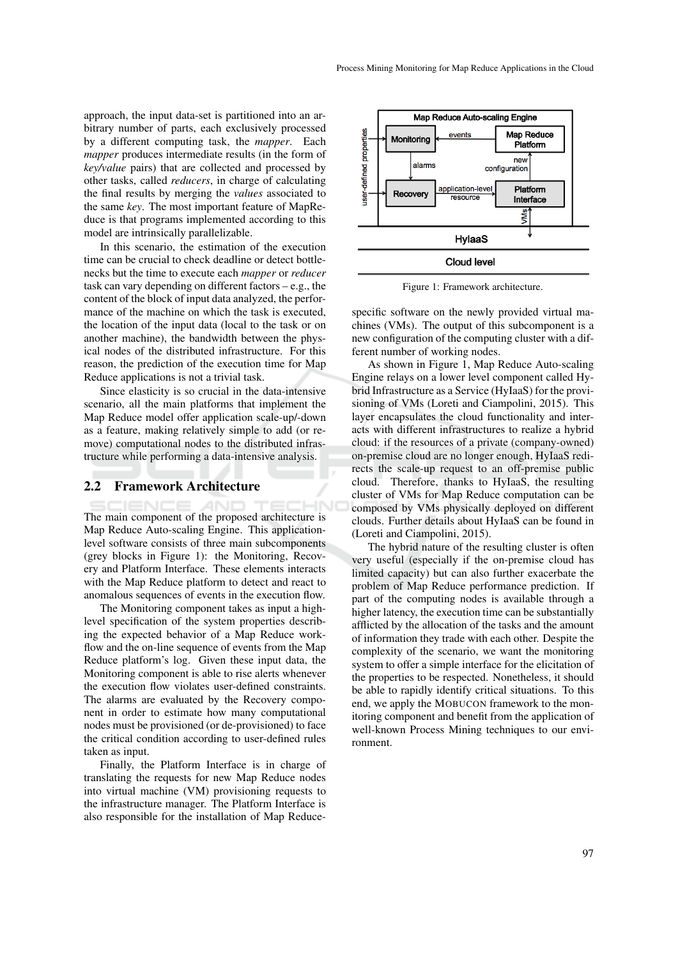approach, the input data-set is partitioned into an arbitrary number of parts, each exclusively processed by a different computing task, the *mapper*. Each *mapper* produces intermediate results (in the form of *key/value* pairs) that are collected and processed by other tasks, called *reducers*, in charge of calculating the final results by merging the *values* associated to the same *key*. The most important feature of MapReduce is that programs implemented according to this model are intrinsically parallelizable.

In this scenario, the estimation of the execution time can be crucial to check deadline or detect bottlenecks but the time to execute each *mapper* or *reducer* task can vary depending on different factors – e.g., the content of the block of input data analyzed, the performance of the machine on which the task is executed, the location of the input data (local to the task or on another machine), the bandwidth between the physical nodes of the distributed infrastructure. For this reason, the prediction of the execution time for Map Reduce applications is not a trivial task.

Since elasticity is so crucial in the data-intensive scenario, all the main platforms that implement the Map Reduce model offer application scale-up/-down as a feature, making relatively simple to add (or remove) computational nodes to the distributed infrastructure while performing a data-intensive analysis.

#### 2.2 Framework Architecture

The main component of the proposed architecture is Map Reduce Auto-scaling Engine. This applicationlevel software consists of three main subcomponents (grey blocks in Figure 1): the Monitoring, Recovery and Platform Interface. These elements interacts with the Map Reduce platform to detect and react to anomalous sequences of events in the execution flow.

The Monitoring component takes as input a highlevel specification of the system properties describing the expected behavior of a Map Reduce workflow and the on-line sequence of events from the Map Reduce platform's log. Given these input data, the Monitoring component is able to rise alerts whenever the execution flow violates user-defined constraints. The alarms are evaluated by the Recovery component in order to estimate how many computational nodes must be provisioned (or de-provisioned) to face the critical condition according to user-defined rules taken as input.

Finally, the Platform Interface is in charge of translating the requests for new Map Reduce nodes into virtual machine (VM) provisioning requests to the infrastructure manager. The Platform Interface is also responsible for the installation of Map Reduce-



Figure 1: Framework architecture.

specific software on the newly provided virtual machines (VMs). The output of this subcomponent is a new configuration of the computing cluster with a different number of working nodes.

As shown in Figure 1, Map Reduce Auto-scaling Engine relays on a lower level component called Hybrid Infrastructure as a Service (HyIaaS) for the provisioning of VMs (Loreti and Ciampolini, 2015). This layer encapsulates the cloud functionality and interacts with different infrastructures to realize a hybrid cloud: if the resources of a private (company-owned) on-premise cloud are no longer enough, HyIaaS redirects the scale-up request to an off-premise public cloud. Therefore, thanks to HyIaaS, the resulting cluster of VMs for Map Reduce computation can be composed by VMs physically deployed on different clouds. Further details about HyIaaS can be found in (Loreti and Ciampolini, 2015).

The hybrid nature of the resulting cluster is often very useful (especially if the on-premise cloud has limited capacity) but can also further exacerbate the problem of Map Reduce performance prediction. If part of the computing nodes is available through a higher latency, the execution time can be substantially afflicted by the allocation of the tasks and the amount of information they trade with each other. Despite the complexity of the scenario, we want the monitoring system to offer a simple interface for the elicitation of the properties to be respected. Nonetheless, it should be able to rapidly identify critical situations. To this end, we apply the MOBUCON framework to the monitoring component and benefit from the application of well-known Process Mining techniques to our environment.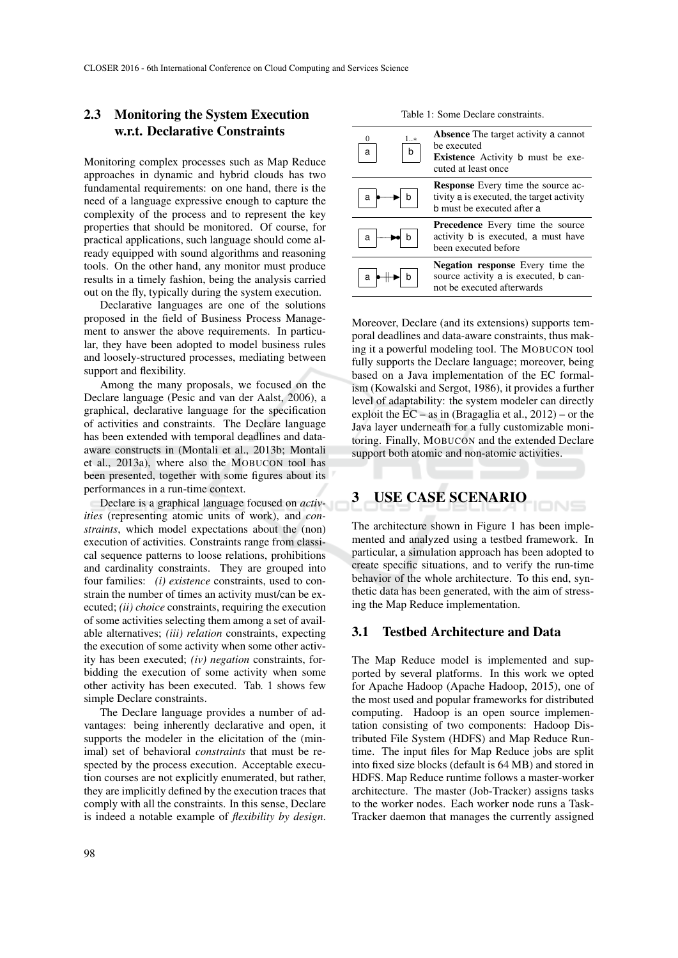## 2.3 Monitoring the System Execution w.r.t. Declarative Constraints

Monitoring complex processes such as Map Reduce approaches in dynamic and hybrid clouds has two fundamental requirements: on one hand, there is the need of a language expressive enough to capture the complexity of the process and to represent the key properties that should be monitored. Of course, for practical applications, such language should come already equipped with sound algorithms and reasoning tools. On the other hand, any monitor must produce results in a timely fashion, being the analysis carried out on the fly, typically during the system execution.

Declarative languages are one of the solutions proposed in the field of Business Process Management to answer the above requirements. In particular, they have been adopted to model business rules and loosely-structured processes, mediating between support and flexibility.

Among the many proposals, we focused on the Declare language (Pesic and van der Aalst, 2006), a graphical, declarative language for the specification of activities and constraints. The Declare language has been extended with temporal deadlines and dataaware constructs in (Montali et al., 2013b; Montali et al., 2013a), where also the MOBUCON tool has been presented, together with some figures about its performances in a run-time context.

Declare is a graphical language focused on *activities* (representing atomic units of work), and *constraints*, which model expectations about the (non) execution of activities. Constraints range from classical sequence patterns to loose relations, prohibitions and cardinality constraints. They are grouped into four families: *(i) existence* constraints, used to constrain the number of times an activity must/can be executed; *(ii) choice* constraints, requiring the execution of some activities selecting them among a set of available alternatives; *(iii) relation* constraints, expecting the execution of some activity when some other activity has been executed; *(iv) negation* constraints, forbidding the execution of some activity when some other activity has been executed. Tab. 1 shows few simple Declare constraints.

The Declare language provides a number of advantages: being inherently declarative and open, it supports the modeler in the elicitation of the (minimal) set of behavioral *constraints* that must be respected by the process execution. Acceptable execution courses are not explicitly enumerated, but rather, they are implicitly defined by the execution traces that comply with all the constraints. In this sense, Declare is indeed a notable example of *flexibility by design*.



| $1*$<br>$\Omega$<br>b<br>a | <b>Absence</b> The target activity a cannot<br>be executed<br><b>Existence</b> Activity b must be exe-<br>cuted at least once |
|----------------------------|-------------------------------------------------------------------------------------------------------------------------------|
| h<br>а                     | <b>Response</b> Every time the source ac-<br>tivity a is executed, the target activity<br>b must be executed after a          |
| h<br>a                     | <b>Precedence</b> Every time the source<br>activity b is executed, a must have<br>been executed before                        |
| a                          | <b>Negation response</b> Every time the<br>source activity a is executed, b can-<br>not be executed afterwards                |

Moreover, Declare (and its extensions) supports temporal deadlines and data-aware constraints, thus making it a powerful modeling tool. The MOBUCON tool fully supports the Declare language; moreover, being based on a Java implementation of the EC formalism (Kowalski and Sergot, 1986), it provides a further level of adaptability: the system modeler can directly exploit the EC – as in (Bragaglia et al., 2012) – or the Java layer underneath for a fully customizable monitoring. Finally, MOBUCON and the extended Declare support both atomic and non-atomic activities.

# 3 USE CASE SCENARIO

The architecture shown in Figure 1 has been implemented and analyzed using a testbed framework. In particular, a simulation approach has been adopted to create specific situations, and to verify the run-time behavior of the whole architecture. To this end, synthetic data has been generated, with the aim of stressing the Map Reduce implementation.

#### 3.1 Testbed Architecture and Data

The Map Reduce model is implemented and supported by several platforms. In this work we opted for Apache Hadoop (Apache Hadoop, 2015), one of the most used and popular frameworks for distributed computing. Hadoop is an open source implementation consisting of two components: Hadoop Distributed File System (HDFS) and Map Reduce Runtime. The input files for Map Reduce jobs are split into fixed size blocks (default is 64 MB) and stored in HDFS. Map Reduce runtime follows a master-worker architecture. The master (Job-Tracker) assigns tasks to the worker nodes. Each worker node runs a Task-Tracker daemon that manages the currently assigned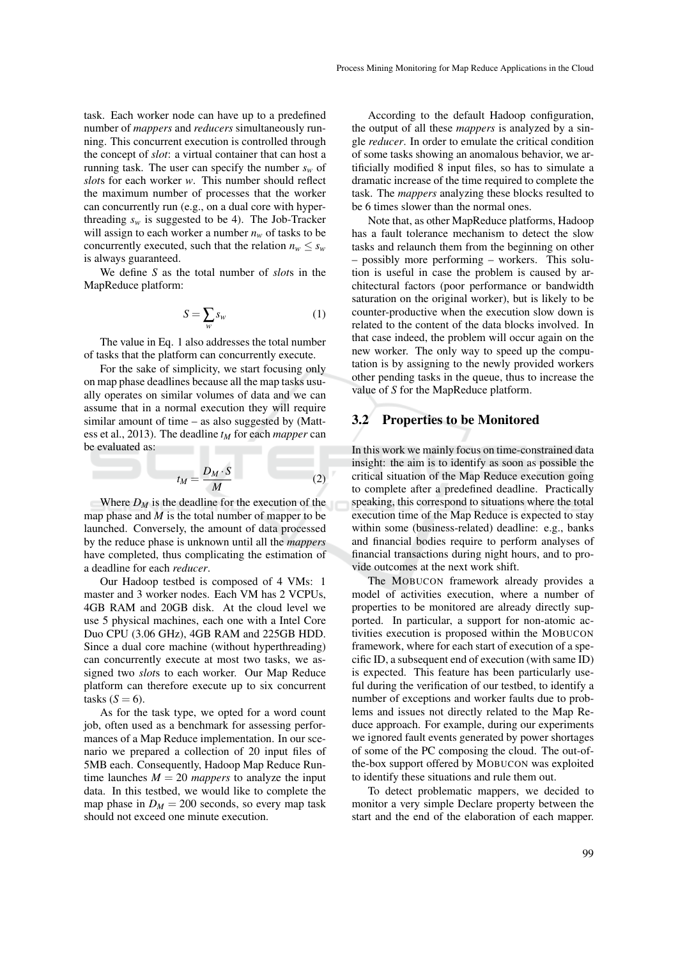task. Each worker node can have up to a predefined number of *mappers* and *reducers* simultaneously running. This concurrent execution is controlled through the concept of *slot*: a virtual container that can host a running task. The user can specify the number  $s_w$  of *slot*s for each worker *w*. This number should reflect the maximum number of processes that the worker can concurrently run (e.g., on a dual core with hyperthreading  $s_w$  is suggested to be 4). The Job-Tracker will assign to each worker a number  $n_w$  of tasks to be concurrently executed, such that the relation  $n_w \leq s_w$ is always guaranteed.

We define *S* as the total number of *slot*s in the MapReduce platform:

$$
S = \sum_{w} s_w \tag{1}
$$

The value in Eq. 1 also addresses the total number of tasks that the platform can concurrently execute.

For the sake of simplicity, we start focusing only on map phase deadlines because all the map tasks usually operates on similar volumes of data and we can assume that in a normal execution they will require similar amount of time – as also suggested by (Mattess et al., 2013). The deadline *t<sup>M</sup>* for each *mapper* can be evaluated as:

$$
t_M = \frac{D_M \cdot S}{M} \tag{2}
$$

Where  $D_M$  is the deadline for the execution of the map phase and *M* is the total number of mapper to be launched. Conversely, the amount of data processed by the reduce phase is unknown until all the *mappers* have completed, thus complicating the estimation of a deadline for each *reducer*.

Our Hadoop testbed is composed of 4 VMs: 1 master and 3 worker nodes. Each VM has 2 VCPUs, 4GB RAM and 20GB disk. At the cloud level we use 5 physical machines, each one with a Intel Core Duo CPU (3.06 GHz), 4GB RAM and 225GB HDD. Since a dual core machine (without hyperthreading) can concurrently execute at most two tasks, we assigned two *slot*s to each worker. Our Map Reduce platform can therefore execute up to six concurrent tasks  $(S = 6)$ .

As for the task type, we opted for a word count job, often used as a benchmark for assessing performances of a Map Reduce implementation. In our scenario we prepared a collection of 20 input files of 5MB each. Consequently, Hadoop Map Reduce Runtime launches  $M = 20$  *mappers* to analyze the input data. In this testbed, we would like to complete the map phase in  $D_M = 200$  seconds, so every map task should not exceed one minute execution.

According to the default Hadoop configuration, the output of all these *mappers* is analyzed by a single *reducer*. In order to emulate the critical condition of some tasks showing an anomalous behavior, we artificially modified 8 input files, so has to simulate a dramatic increase of the time required to complete the task. The *mappers* analyzing these blocks resulted to be 6 times slower than the normal ones.

Note that, as other MapReduce platforms, Hadoop has a fault tolerance mechanism to detect the slow tasks and relaunch them from the beginning on other – possibly more performing – workers. This solution is useful in case the problem is caused by architectural factors (poor performance or bandwidth saturation on the original worker), but is likely to be counter-productive when the execution slow down is related to the content of the data blocks involved. In that case indeed, the problem will occur again on the new worker. The only way to speed up the computation is by assigning to the newly provided workers other pending tasks in the queue, thus to increase the value of *S* for the MapReduce platform.

#### 3.2 Properties to be Monitored

In this work we mainly focus on time-constrained data insight: the aim is to identify as soon as possible the critical situation of the Map Reduce execution going to complete after a predefined deadline. Practically speaking, this correspond to situations where the total execution time of the Map Reduce is expected to stay within some (business-related) deadline: e.g., banks and financial bodies require to perform analyses of financial transactions during night hours, and to provide outcomes at the next work shift.

The MOBUCON framework already provides a model of activities execution, where a number of properties to be monitored are already directly supported. In particular, a support for non-atomic activities execution is proposed within the MOBUCON framework, where for each start of execution of a specific ID, a subsequent end of execution (with same ID) is expected. This feature has been particularly useful during the verification of our testbed, to identify a number of exceptions and worker faults due to problems and issues not directly related to the Map Reduce approach. For example, during our experiments we ignored fault events generated by power shortages of some of the PC composing the cloud. The out-ofthe-box support offered by MOBUCON was exploited to identify these situations and rule them out.

To detect problematic mappers, we decided to monitor a very simple Declare property between the start and the end of the elaboration of each mapper.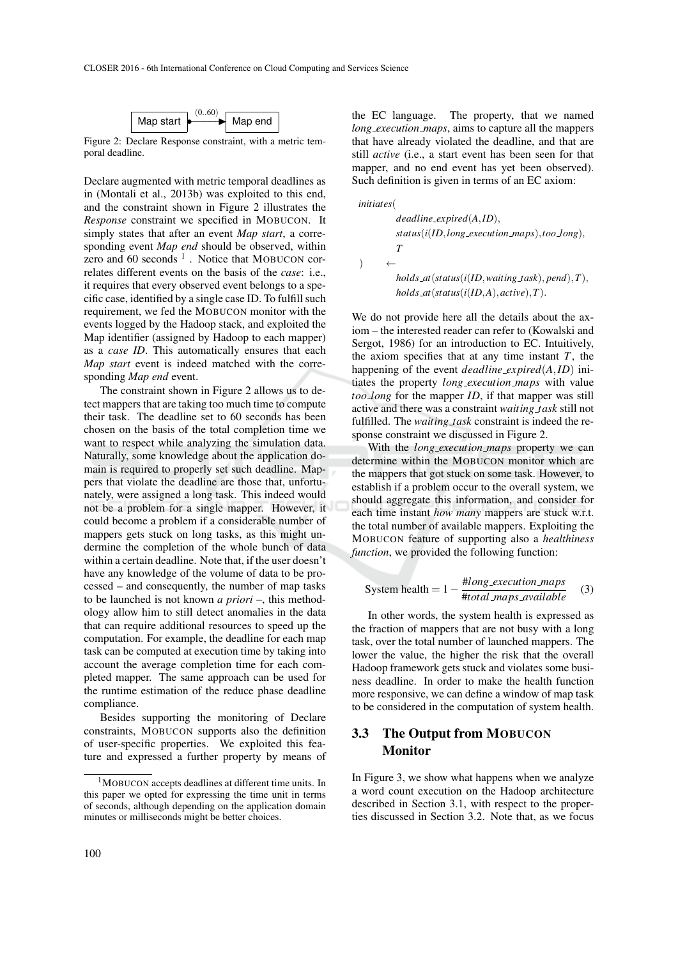

Figure 2: Declare Response constraint, with a metric temporal deadline.

Declare augmented with metric temporal deadlines as in (Montali et al., 2013b) was exploited to this end, and the constraint shown in Figure 2 illustrates the *Response* constraint we specified in MOBUCON. It simply states that after an event *Map start*, a corresponding event *Map end* should be observed, within zero and 60 seconds  $<sup>1</sup>$ . Notice that MOBUCON cor-</sup> relates different events on the basis of the *case*: i.e., it requires that every observed event belongs to a specific case, identified by a single case ID. To fulfill such requirement, we fed the MOBUCON monitor with the events logged by the Hadoop stack, and exploited the Map identifier (assigned by Hadoop to each mapper) as a *case ID*. This automatically ensures that each *Map start* event is indeed matched with the corresponding *Map end* event.

The constraint shown in Figure 2 allows us to detect mappers that are taking too much time to compute their task. The deadline set to 60 seconds has been chosen on the basis of the total completion time we want to respect while analyzing the simulation data. Naturally, some knowledge about the application domain is required to properly set such deadline. Mappers that violate the deadline are those that, unfortunately, were assigned a long task. This indeed would not be a problem for a single mapper. However, it could become a problem if a considerable number of mappers gets stuck on long tasks, as this might undermine the completion of the whole bunch of data within a certain deadline. Note that, if the user doesn't have any knowledge of the volume of data to be processed – and consequently, the number of map tasks to be launched is not known *a priori* –, this methodology allow him to still detect anomalies in the data that can require additional resources to speed up the computation. For example, the deadline for each map task can be computed at execution time by taking into account the average completion time for each completed mapper. The same approach can be used for the runtime estimation of the reduce phase deadline compliance.

Besides supporting the monitoring of Declare constraints, MOBUCON supports also the definition of user-specific properties. We exploited this feature and expressed a further property by means of the EC language. The property, that we named *long execution maps*, aims to capture all the mappers that have already violated the deadline, and that are still *active* (i.e., a start event has been seen for that mapper, and no end event has yet been observed). Such definition is given in terms of an EC axiom:

$$
\begin{array}{ll}\n\textit{initiates(} & \textit{deadline}.\textit{expired(A,ID)}, \\
\textit{stadline}.\textit{expired(A,ID)}, \\
\textit{status((ID, long\_execution \_maps), too\_long)}, \\
\textit{T} & \textit{holds\_at(status(i(ID, waiting \_task), pend), T)}, \\
\textit{holds\_at(status(i(ID, A), active), T)}.\n\end{array}
$$

We do not provide here all the details about the axiom – the interested reader can refer to (Kowalski and Sergot, 1986) for an introduction to EC. Intuitively, the axiom specifies that at any time instant  $T$ , the happening of the event *deadline expired*(*A*,*ID*) initiates the property *long execution maps* with value *too long* for the mapper *ID*, if that mapper was still active and there was a constraint *waiting task* still not fulfilled. The *waiting task* constraint is indeed the response constraint we discussed in Figure 2.

With the *long\_execution\_maps* property we can determine within the MOBUCON monitor which are the mappers that got stuck on some task. However, to establish if a problem occur to the overall system, we should aggregate this information, and consider for each time instant *how many* mappers are stuck w.r.t. the total number of available mappers. Exploiting the MOBUCON feature of supporting also a *healthiness function*, we provided the following function:

$$
System health = 1 - \frac{\#long\_execution\_maps}{\#total\_maps\_available}
$$
 (3)

In other words, the system health is expressed as the fraction of mappers that are not busy with a long task, over the total number of launched mappers. The lower the value, the higher the risk that the overall Hadoop framework gets stuck and violates some business deadline. In order to make the health function more responsive, we can define a window of map task to be considered in the computation of system health.

## 3.3 The Output from MOBUCON Monitor

In Figure 3, we show what happens when we analyze a word count execution on the Hadoop architecture described in Section 3.1, with respect to the properties discussed in Section 3.2. Note that, as we focus

<sup>&</sup>lt;sup>1</sup>MOBUCON accepts deadlines at different time units. In this paper we opted for expressing the time unit in terms of seconds, although depending on the application domain minutes or milliseconds might be better choices.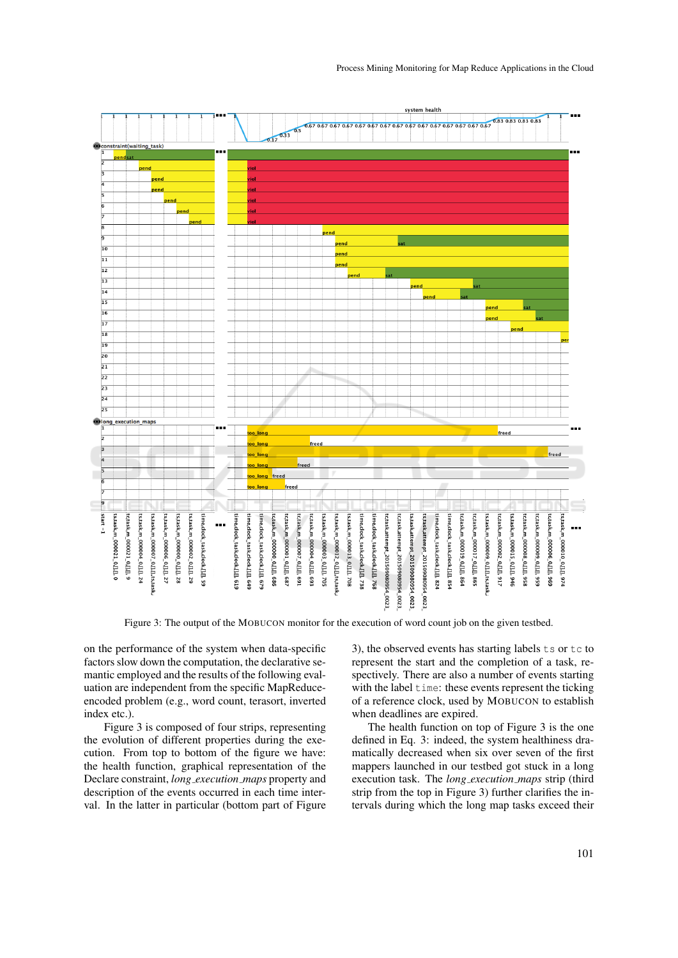

Figure 3: The output of the MOBUCON monitor for the execution of word count job on the given testbed.

on the performance of the system when data-specific factors slow down the computation, the declarative semantic employed and the results of the following evaluation are independent from the specific MapReduceencoded problem (e.g., word count, terasort, inverted index etc.).

Figure 3 is composed of four strips, representing the evolution of different properties during the execution. From top to bottom of the figure we have: the health function, graphical representation of the Declare constraint, *long execution maps* property and description of the events occurred in each time interval. In the latter in particular (bottom part of Figure 3), the observed events has starting labels ts or tc to represent the start and the completion of a task, respectively. There are also a number of events starting with the label time: these events represent the ticking of a reference clock, used by MOBUCON to establish when deadlines are expired.

The health function on top of Figure 3 is the one defined in Eq. 3: indeed, the system healthiness dramatically decreased when six over seven of the first mappers launched in our testbed got stuck in a long execution task. The *long execution maps* strip (third strip from the top in Figure 3) further clarifies the intervals during which the long map tasks exceed their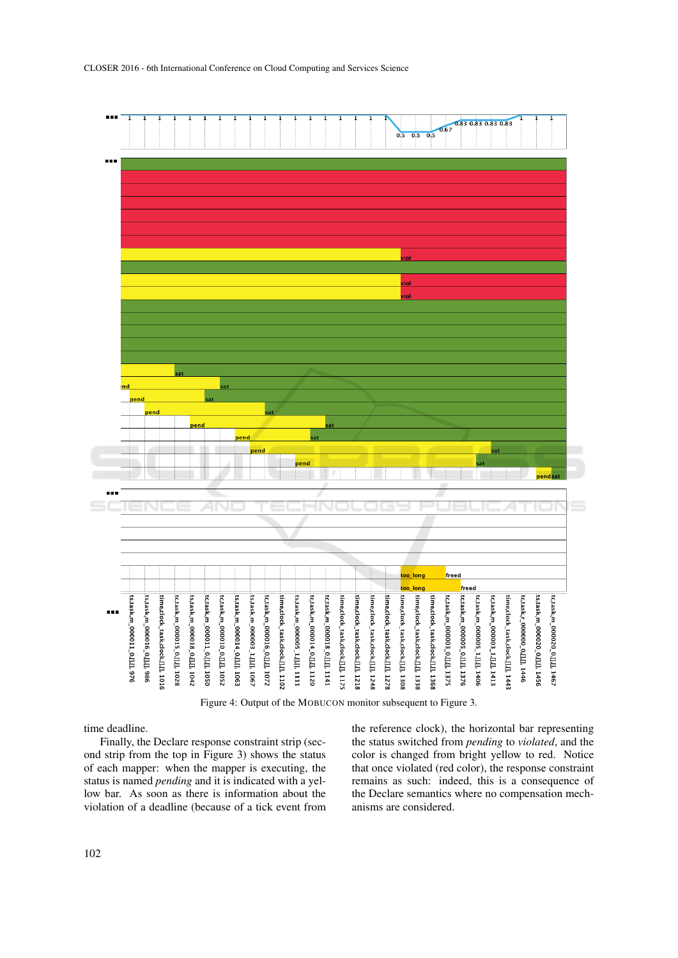

Figure 4: Output of the MOBUCON monitor subsequent to Figure 3.

time deadline.

Finally, the Declare response constraint strip (second strip from the top in Figure 3) shows the status of each mapper: when the mapper is executing, the status is named *pending* and it is indicated with a yellow bar. As soon as there is information about the violation of a deadline (because of a tick event from the reference clock), the horizontal bar representing the status switched from *pending* to *violated*, and the color is changed from bright yellow to red. Notice that once violated (red color), the response constraint remains as such: indeed, this is a consequence of the Declare semantics where no compensation mechanisms are considered.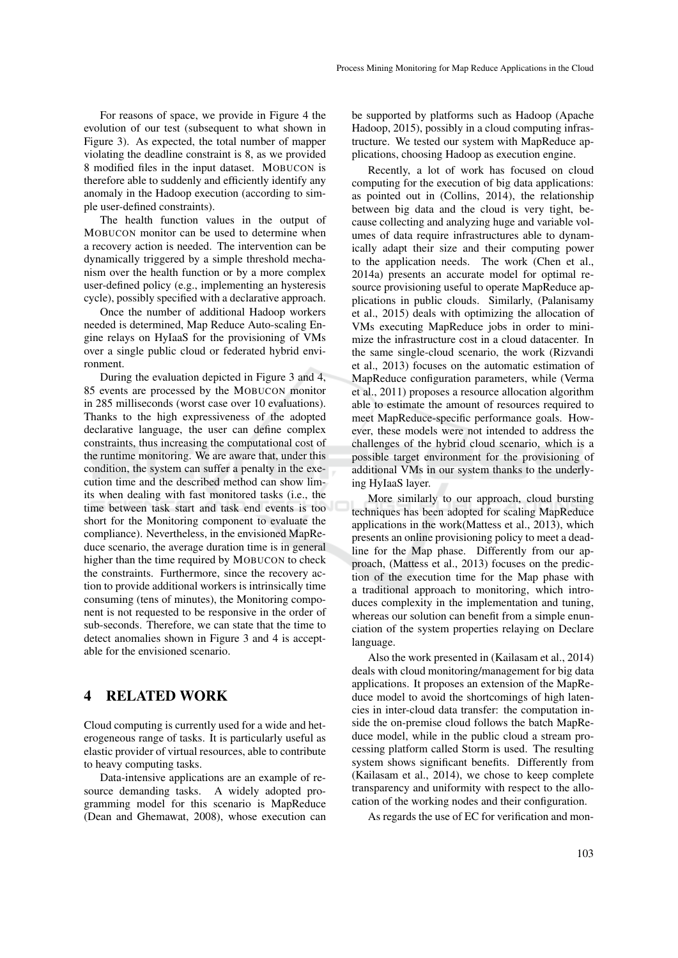For reasons of space, we provide in Figure 4 the evolution of our test (subsequent to what shown in Figure 3). As expected, the total number of mapper violating the deadline constraint is 8, as we provided 8 modified files in the input dataset. MOBUCON is therefore able to suddenly and efficiently identify any anomaly in the Hadoop execution (according to simple user-defined constraints).

The health function values in the output of MOBUCON monitor can be used to determine when a recovery action is needed. The intervention can be dynamically triggered by a simple threshold mechanism over the health function or by a more complex user-defined policy (e.g., implementing an hysteresis cycle), possibly specified with a declarative approach.

Once the number of additional Hadoop workers needed is determined, Map Reduce Auto-scaling Engine relays on HyIaaS for the provisioning of VMs over a single public cloud or federated hybrid environment.

During the evaluation depicted in Figure 3 and 4, 85 events are processed by the MOBUCON monitor in 285 milliseconds (worst case over 10 evaluations). Thanks to the high expressiveness of the adopted declarative language, the user can define complex constraints, thus increasing the computational cost of the runtime monitoring. We are aware that, under this condition, the system can suffer a penalty in the execution time and the described method can show limits when dealing with fast monitored tasks (i.e., the time between task start and task end events is too short for the Monitoring component to evaluate the compliance). Nevertheless, in the envisioned MapReduce scenario, the average duration time is in general higher than the time required by MOBUCON to check the constraints. Furthermore, since the recovery action to provide additional workers is intrinsically time consuming (tens of minutes), the Monitoring component is not requested to be responsive in the order of sub-seconds. Therefore, we can state that the time to detect anomalies shown in Figure 3 and 4 is acceptable for the envisioned scenario.

## 4 RELATED WORK

Cloud computing is currently used for a wide and heterogeneous range of tasks. It is particularly useful as elastic provider of virtual resources, able to contribute to heavy computing tasks.

Data-intensive applications are an example of resource demanding tasks. A widely adopted programming model for this scenario is MapReduce (Dean and Ghemawat, 2008), whose execution can

be supported by platforms such as Hadoop (Apache Hadoop, 2015), possibly in a cloud computing infrastructure. We tested our system with MapReduce applications, choosing Hadoop as execution engine.

Recently, a lot of work has focused on cloud computing for the execution of big data applications: as pointed out in (Collins, 2014), the relationship between big data and the cloud is very tight, because collecting and analyzing huge and variable volumes of data require infrastructures able to dynamically adapt their size and their computing power to the application needs. The work (Chen et al., 2014a) presents an accurate model for optimal resource provisioning useful to operate MapReduce applications in public clouds. Similarly, (Palanisamy et al., 2015) deals with optimizing the allocation of VMs executing MapReduce jobs in order to minimize the infrastructure cost in a cloud datacenter. In the same single-cloud scenario, the work (Rizvandi et al., 2013) focuses on the automatic estimation of MapReduce configuration parameters, while (Verma et al., 2011) proposes a resource allocation algorithm able to estimate the amount of resources required to meet MapReduce-specific performance goals. However, these models were not intended to address the challenges of the hybrid cloud scenario, which is a possible target environment for the provisioning of additional VMs in our system thanks to the underlying HyIaaS layer.

More similarly to our approach, cloud bursting techniques has been adopted for scaling MapReduce applications in the work(Mattess et al., 2013), which presents an online provisioning policy to meet a deadline for the Map phase. Differently from our approach, (Mattess et al., 2013) focuses on the prediction of the execution time for the Map phase with a traditional approach to monitoring, which introduces complexity in the implementation and tuning, whereas our solution can benefit from a simple enunciation of the system properties relaying on Declare language.

Also the work presented in (Kailasam et al., 2014) deals with cloud monitoring/management for big data applications. It proposes an extension of the MapReduce model to avoid the shortcomings of high latencies in inter-cloud data transfer: the computation inside the on-premise cloud follows the batch MapReduce model, while in the public cloud a stream processing platform called Storm is used. The resulting system shows significant benefits. Differently from (Kailasam et al., 2014), we chose to keep complete transparency and uniformity with respect to the allocation of the working nodes and their configuration.

As regards the use of EC for verification and mon-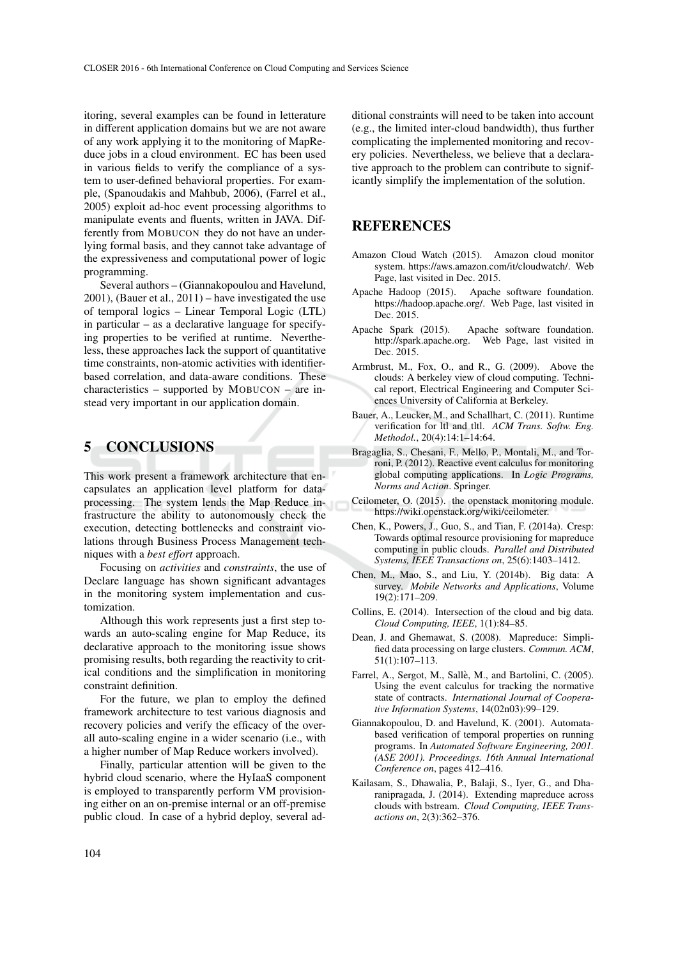itoring, several examples can be found in letterature in different application domains but we are not aware of any work applying it to the monitoring of MapReduce jobs in a cloud environment. EC has been used in various fields to verify the compliance of a system to user-defined behavioral properties. For example, (Spanoudakis and Mahbub, 2006), (Farrel et al., 2005) exploit ad-hoc event processing algorithms to manipulate events and fluents, written in JAVA. Differently from MOBUCON they do not have an underlying formal basis, and they cannot take advantage of the expressiveness and computational power of logic programming.

Several authors – (Giannakopoulou and Havelund, 2001), (Bauer et al., 2011) – have investigated the use of temporal logics – Linear Temporal Logic (LTL) in particular – as a declarative language for specifying properties to be verified at runtime. Nevertheless, these approaches lack the support of quantitative time constraints, non-atomic activities with identifierbased correlation, and data-aware conditions. These characteristics – supported by MOBUCON – are instead very important in our application domain.

### 5 CONCLUSIONS

This work present a framework architecture that encapsulates an application level platform for dataprocessing. The system lends the Map Reduce infrastructure the ability to autonomously check the execution, detecting bottlenecks and constraint violations through Business Process Management techniques with a *best effort* approach.

Focusing on *activities* and *constraints*, the use of Declare language has shown significant advantages in the monitoring system implementation and customization.

Although this work represents just a first step towards an auto-scaling engine for Map Reduce, its declarative approach to the monitoring issue shows promising results, both regarding the reactivity to critical conditions and the simplification in monitoring constraint definition.

For the future, we plan to employ the defined framework architecture to test various diagnosis and recovery policies and verify the efficacy of the overall auto-scaling engine in a wider scenario (i.e., with a higher number of Map Reduce workers involved).

Finally, particular attention will be given to the hybrid cloud scenario, where the HyIaaS component is employed to transparently perform VM provisioning either on an on-premise internal or an off-premise public cloud. In case of a hybrid deploy, several additional constraints will need to be taken into account (e.g., the limited inter-cloud bandwidth), thus further complicating the implemented monitoring and recovery policies. Nevertheless, we believe that a declarative approach to the problem can contribute to significantly simplify the implementation of the solution.

### REFERENCES

- Amazon Cloud Watch (2015). Amazon cloud monitor system. https://aws.amazon.com/it/cloudwatch/. Web Page, last visited in Dec. 2015.
- Apache Hadoop (2015). Apache software foundation. https://hadoop.apache.org/. Web Page, last visited in Dec. 2015.
- Apache Spark (2015). Apache software foundation. http://spark.apache.org. Web Page, last visited in Dec. 2015.
- Armbrust, M., Fox, O., and R., G. (2009). Above the clouds: A berkeley view of cloud computing. Technical report, Electrical Engineering and Computer Sciences University of California at Berkeley.
- Bauer, A., Leucker, M., and Schallhart, C. (2011). Runtime verification for ltl and tltl. *ACM Trans. Softw. Eng. Methodol.*, 20(4):14:1–14:64.
- Bragaglia, S., Chesani, F., Mello, P., Montali, M., and Torroni, P. (2012). Reactive event calculus for monitoring global computing applications. In *Logic Programs, Norms and Action*. Springer.
- Ceilometer, O. (2015). the openstack monitoring module. https://wiki.openstack.org/wiki/ceilometer.
- Chen, K., Powers, J., Guo, S., and Tian, F. (2014a). Cresp: Towards optimal resource provisioning for mapreduce computing in public clouds. *Parallel and Distributed Systems, IEEE Transactions on*, 25(6):1403–1412.
- Chen, M., Mao, S., and Liu, Y. (2014b). Big data: A survey. *Mobile Networks and Applications*, Volume 19(2):171–209.
- Collins, E. (2014). Intersection of the cloud and big data. *Cloud Computing, IEEE*, 1(1):84–85.
- Dean, J. and Ghemawat, S. (2008). Mapreduce: Simplified data processing on large clusters. *Commun. ACM*, 51(1):107–113.
- Farrel, A., Sergot, M., Salle, M., and Bartolini, C. (2005). ` Using the event calculus for tracking the normative state of contracts. *International Journal of Cooperative Information Systems*, 14(02n03):99–129.
- Giannakopoulou, D. and Havelund, K. (2001). Automatabased verification of temporal properties on running programs. In *Automated Software Engineering, 2001. (ASE 2001). Proceedings. 16th Annual International Conference on*, pages 412–416.
- Kailasam, S., Dhawalia, P., Balaji, S., Iyer, G., and Dharanipragada, J. (2014). Extending mapreduce across clouds with bstream. *Cloud Computing, IEEE Transactions on*, 2(3):362–376.